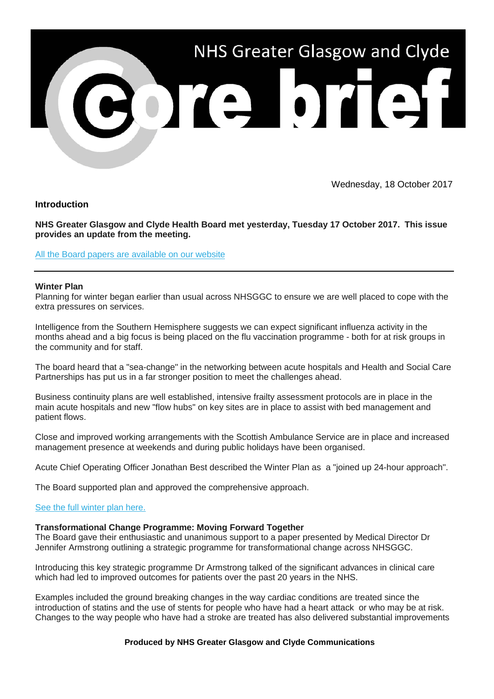

Wednesday, 18 October 2017

**Introduction**

**NHS Greater Glasgow and Clyde Health Board met yesterday, Tuesday 17 October 2017. This issue provides an update from the meeting.**

[All the Board papers are available on our website](https://nhsggc.us12.list-manage.com/track/click?u=0f385b5aea37eaf0213bd19fb&id=cc04ea1a65&e=5af5e1832c)

### **Winter Plan**

Planning for winter began earlier than usual across NHSGGC to ensure we are well placed to cope with the extra pressures on services.

Intelligence from the Southern Hemisphere suggests we can expect significant influenza activity in the months ahead and a big focus is being placed on the flu vaccination programme - both for at risk groups in the community and for staff.

The board heard that a "sea-change" in the networking between acute hospitals and Health and Social Care Partnerships has put us in a far stronger position to meet the challenges ahead.

Business continuity plans are well established, intensive frailty assessment protocols are in place in the main acute hospitals and new "flow hubs" on key sites are in place to assist with bed management and patient flows.

Close and improved working arrangements with the Scottish Ambulance Service are in place and increased management presence at weekends and during public holidays have been organised.

Acute Chief Operating Officer Jonathan Best described the Winter Plan as a "joined up 24-hour approach".

The Board supported plan and approved the comprehensive approach.

# [See the full winter plan here.](https://nhsggc.us12.list-manage.com/track/click?u=0f385b5aea37eaf0213bd19fb&id=5a6a8737fa&e=5af5e1832c)

## **Transformational Change Programme: Moving Forward Together**

The Board gave their enthusiastic and unanimous support to a paper presented by Medical Director Dr Jennifer Armstrong outlining a strategic programme for transformational change across NHSGGC.

Introducing this key strategic programme Dr Armstrong talked of the significant advances in clinical care which had led to improved outcomes for patients over the past 20 years in the NHS.

Examples included the ground breaking changes in the way cardiac conditions are treated since the introduction of statins and the use of stents for people who have had a heart attack or who may be at risk. Changes to the way people who have had a stroke are treated has also delivered substantial improvements

### **Produced by NHS Greater Glasgow and Clyde Communications**